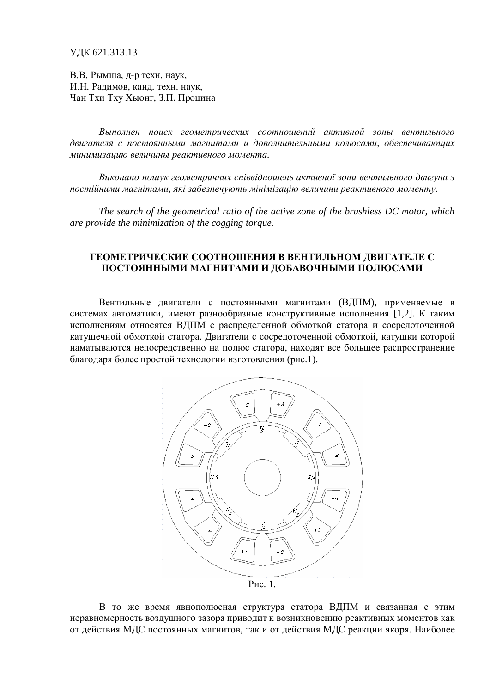ɍȾɄ 621.313.13

В.В. Рымша, д-р техн. наук, И.Н. Ралимов, канл. техн. наук. Чан Тхи Тху Хыонг, З.П. Процина

Выполнен поиск геометрических соотношений активной зоны вентильного двигателя с постоянными магнитами и дополнительными полюсами, обеспечивающих *ɦɢɧɢɦɢɡɚɰɢɸɜɟɥɢɱɢɧɵɪɟɚɤɬɢɜɧɨɝɨɦɨɦɟɧɬɚ.*

Виконано пошук геометричних співвідношень активної зони вентильного двигуна з постійними магнітами, які забезпечують мінімізацію величини реактивного моменту.

*The search of the geometrical ratio of the active zone of the brushless DC motor, which are provide the minimization of the cogging torque.*

## ГЕОМЕТРИЧЕСКИЕ СООТНОШЕНИЯ В ВЕНТИЛЬНОМ ДВИГАТЕЛЕ С ПОСТОЯННЫМИ МАГНИТАМИ И ДОБАВОЧНЫМИ ПОЛЮСАМИ

Вентильные двигатели с постоянными магнитами (ВДПМ), применяемые в системах автоматики, имеют разнообразные конструктивные исполнения [1,2]. К таким исполнениям относятся ВДПМ с распределенной обмоткой статора и сосредоточенной катушечной обмоткой статора. Двигатели с сосредоточенной обмоткой, катушки которой наматываются непосредственно на полюс статора, находят все большее распространение благодаря более простой технологии изготовления (рис.1).



Рис. 1.

В то же время явнополюсная структура статора ВДПМ и связанная с этим неравномерность воздушного зазора приводит к возникновению реактивных моментов как от действия МДС постоянных магнитов, так и от действия МДС реакции якоря. Наиболее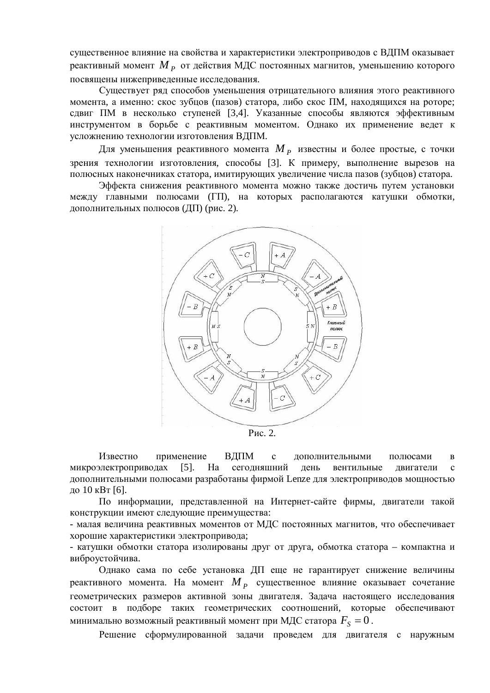существенное влияние на свойства и характеристики электроприводов с ВДПМ оказывает реактивный момент  $M$   $_{P}$  от действия МДС постоянных магнитов, уменьшению которого посвящены нижепривеленные исследования.

Существует ряд способов уменьшения отрицательного влияния этого реактивного момента, а именно: скос зубцов (пазов) статора, либо скос ПМ, находящихся на роторе; сдвиг ПМ в несколько ступеней [3,4]. Указанные способы являются эффективным инструментом в борьбе с реактивным моментом. Однако их применение ведет к усложнению технологии изготовления ВЛПМ.

Для уменьшения реактивного момента  $M$   $_p$  известны и более простые, с точки зрения технологии изготовления, способы [3]. К примеру, выполнение вырезов на полюсных наконечниках статора, имитирующих увеличение числа пазов (зубцов) статора.

Эффекта снижения реактивного момента можно также достичь путем установки между главными полюсами (ГП), на которых располагаются катушки обмотки, дополнительных полюсов (ДП) (рис. 2).



P<sub>ис. 2.</sub>

Известно применение ВЛПМ с лополнительными полюсами в микроэлектроприводах [5]. На сегодняшний день вентильные двигатели с дополнительными полюсами разработаны фирмой Lenze для электроприводов мощностью до 10 кВт [6].

По информации, представленной на Интернет-сайте фирмы, двигатели такой конструкции имеют следующие преимущества:

- малая величина реактивных моментов от МДС постоянных магнитов, что обеспечивает хорошие характеристики электропривода;

- катушки обмотки статора изолированы друг от друга, обмотка статора – компактна и виброустойчива.

Однако сама по себе установка ДП еще не гарантирует снижение величины реактивного момента. На момент  $M_{\,P} \,$  существенное влияние оказывает сочетание геометрических размеров активной зоны двигателя. Задача настоящего исследования состоит в подборе таких геометрических соотношений, которые обеспечивают минимально возможный реактивный момент при МДС статора  $F_{\scriptscriptstyle{S}}^{}$  =  $0$  .

Решение сформулированной задачи проведем для двигателя с наружным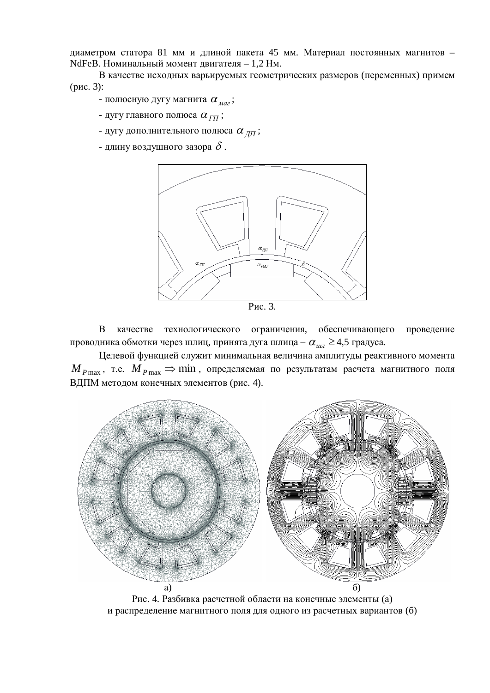диаметром статора 81 мм и длиной пакета 45 мм. Материал постоянных магнитов -NdFeB. Номинальный момент двигателя – 1,2 Нм.

В качестве исходных варьируемых геометрических размеров (переменных) примем  $(pnc. 3)$ :

- полюсную дугу магнита  $\alpha_{\text{max}}$ ;

- дугу главного полюса  $\alpha_{\tau\tau\tau}$ ;

- дугу дополнительного полюса  $\alpha_{\text{III}}$ ;

- длину воздушного зазора  $\delta$  .



Рис. 3.

В качестве технологического ограничения, обеспечивающего провеление проводника обмотки через шлиц, принята дуга шлица –  $\alpha_{uu} \geq 4.5$  градуса.

Целевой функцией служит минимальная величина амплитуды реактивного момента  $M_{P\max}$ , т.е.  $M_{P\max} \Rightarrow \min$ , определяемая по результатам расчета магнитного поля ВДПМ методом конечных элементов (рис. 4).



Рис. 4. Разбивка расчетной области на конечные элементы (а) и распределение магнитного поля для одного из расчетных вариантов (б)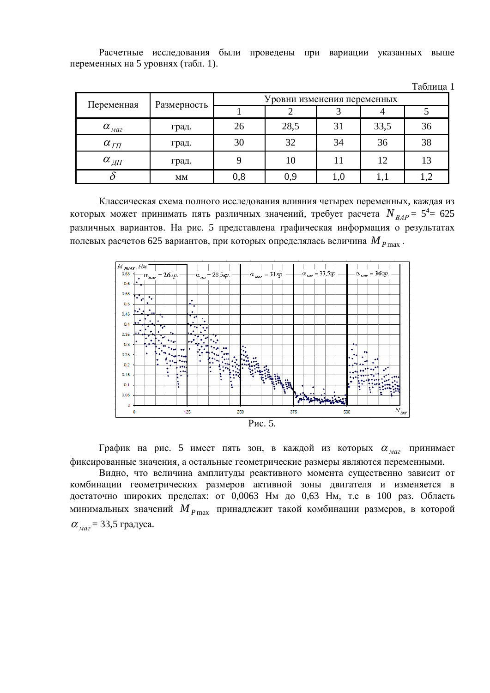Расчетные исследования были проведены при вариации указанных выше переменных на 5 уровнях (табл. 1).

|                                                  |             |                             |      |     |      | Таблица 1 |
|--------------------------------------------------|-------------|-----------------------------|------|-----|------|-----------|
| Переменная                                       | Размерность | Уровни изменения переменных |      |     |      |           |
|                                                  |             |                             |      |     |      |           |
| $\alpha$ <sub><i>Ma2</i></sub>                   | град.       | 26                          | 28,5 | 31  | 33,5 | 36        |
| $\alpha_{\varGamma\Pi}$                          | град.       | 30                          | 32   | 34  | 36   | 38        |
| $\alpha_{\varnothing\!\varnothing\!\varnothing}$ | град.       | 9                           | 10   | 11  | 12   | 13        |
|                                                  | <b>MM</b>   | 0,8                         | 0,9  | 1,0 | 1,1  |           |

Классическая схема полного исследования влияния четырех переменных, каждая из которых может принимать пять различных значений, требует расчета  $\,N_{\,BA P}^{}=\,5^4\!\!=\,625$ различных вариантов. На рис. 5 представлена графическая информация о результатах  $\dot{M}$ нолевых расчетов 625 вариантов, при которых определялась величина  $M$   $_{P\max}$ .



График на рис. 5 имеет пять зон, в каждой из которых  $\alpha_{\text{max}}$  принимает фиксированные значения, а остальные геометрические размеры являются переменными.

Видно, что величина амплитуды реактивного момента существенно зависит от комбинации геометрических размеров активной зоны двигателя и изменяется в достаточно широких пределах: от 0,0063 Нм до 0,63 Нм, т.е в 100 раз. Область минимальных значений *M*  $_{P_{\text{max}}}$  принадлежит такой комбинации размеров, в которой  $\alpha_{\text{max}}$  = 33,5 градуса.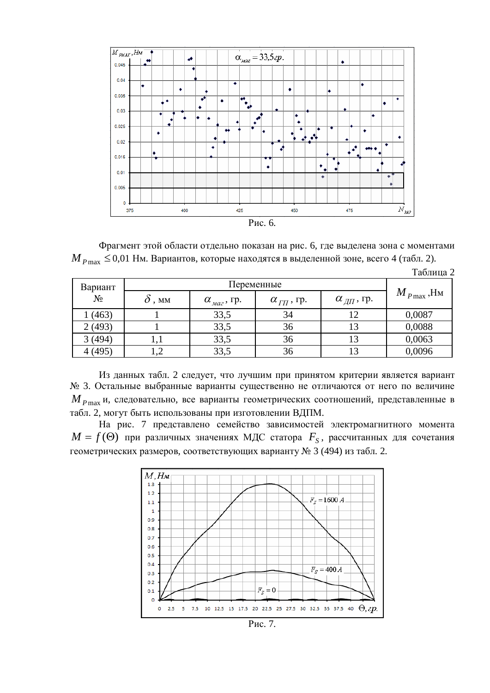

Фрагмент этой области отдельно показан на рис. 6, где выделена зона с моментами  $M_{P_{\text{max}}}$  ≤ 0,01 Нм. Вариантов, которые находятся в выделенной зоне, всего 4 (табл. 2).

|         |                 |                             |                                 |                                  | Таблица 2                  |
|---------|-----------------|-----------------------------|---------------------------------|----------------------------------|----------------------------|
| Вариант | Переменные      |                             |                                 |                                  |                            |
| $N_2$   | $\partial$ , MM | $\alpha_{\text{max}}$ , rp. | $\alpha_{\varGamma\Pi}^{},$ rp. | $\alpha_{\textit{\{III}}}$ , гр. | $\overline{M}_{P\max}$ ,Нм |
| 1 (463) |                 | 33,5                        | 34                              |                                  | 0,0087                     |
| 2(493)  |                 | 33,5                        | 36                              | 13                               | 0,0088                     |
| 3(494)  | 1,1             | 33,5                        | 36                              | 13                               | 0,0063                     |
| 4(495)  |                 | 33,5                        | 36                              | 13                               | 0,0096                     |

Из данных табл. 2 следует, что лучшим при принятом критерии является вариант № 3. Остальные выбранные варианты существенно не отличаются от него по величине *М P*<sub>max</sub> и, следовательно, все варианты геометрических соотношений, представленные в табл. 2, могут быть использованы при изготовлении ВДПМ.

На рис. 7 представлено семейство зависимостей электромагнитного момента  $M = f(\Theta)$  при различных значениях МДС статора  $\,F_{S}^{}$ , рассчитанных для сочетания геометрических размеров, соответствующих варианту № 3 (494) из табл. 2.



Рис. 7.